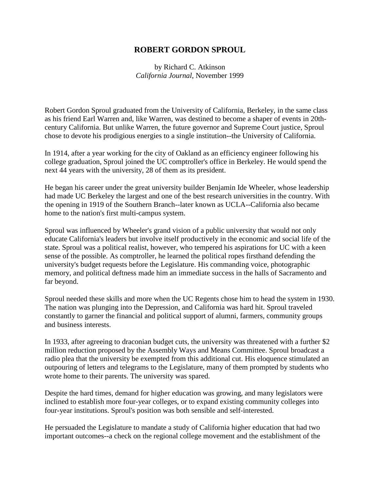## **ROBERT GORDON SPROUL**

by Richard C. Atkinson *California Journal*, November 1999

Robert Gordon Sproul graduated from the University of California, Berkeley, in the same class as his friend Earl Warren and, like Warren, was destined to become a shaper of events in 20thcentury California. But unlike Warren, the future governor and Supreme Court justice, Sproul chose to devote his prodigious energies to a single institution--the University of California.

In 1914, after a year working for the city of Oakland as an efficiency engineer following his college graduation, Sproul joined the UC comptroller's office in Berkeley. He would spend the next 44 years with the university, 28 of them as its president.

He began his career under the great university builder Benjamin Ide Wheeler, whose leadership had made UC Berkeley the largest and one of the best research universities in the country. With the opening in 1919 of the Southern Branch--later known as UCLA--California also became home to the nation's first multi-campus system.

Sproul was influenced by Wheeler's grand vision of a public university that would not only educate California's leaders but involve itself productively in the economic and social life of the state. Sproul was a political realist, however, who tempered his aspirations for UC with a keen sense of the possible. As comptroller, he learned the political ropes firsthand defending the university's budget requests before the Legislature. His commanding voice, photographic memory, and political deftness made him an immediate success in the halls of Sacramento and far beyond.

Sproul needed these skills and more when the UC Regents chose him to head the system in 1930. The nation was plunging into the Depression, and California was hard hit. Sproul traveled constantly to garner the financial and political support of alumni, farmers, community groups and business interests.

In 1933, after agreeing to draconian budget cuts, the university was threatened with a further \$2 million reduction proposed by the Assembly Ways and Means Committee. Sproul broadcast a radio plea that the university be exempted from this additional cut. His eloquence stimulated an outpouring of letters and telegrams to the Legislature, many of them prompted by students who wrote home to their parents. The university was spared.

Despite the hard times, demand for higher education was growing, and many legislators were inclined to establish more four-year colleges, or to expand existing community colleges into four-year institutions. Sproul's position was both sensible and self-interested.

He persuaded the Legislature to mandate a study of California higher education that had two important outcomes--a check on the regional college movement and the establishment of the